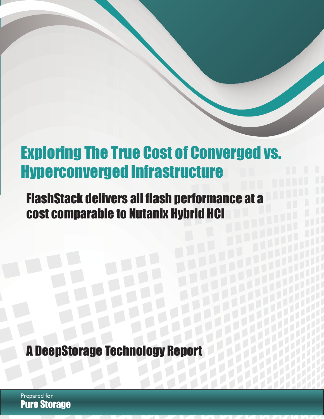# Exploring The True Cost of Converged vs. Hyperconverged Infrastructure

 $E_{\rm eff}$  True Cost of Cost of Cost of Cost of Cost of Cost of Cost of Cost of Co

## FlashStack delivers all flash performance at a cost comparable to Nutanix Hybrid HCI

i

**A DeepStorage Technology Repo** 

Pure Storage Prepared for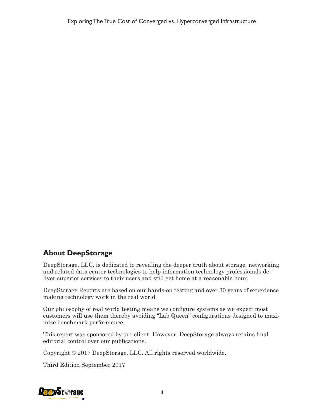### **About DeepStorage**

DeepStorage, LLC. is dedicated to revealing the deeper truth about storage, networking and related data center technologies to help information technology professionals deliver superior services to their users and still get home at a reasonable hour.

DeepStorage Reports are based on our hands-on testing and over 30 years of experience making technology work in the real world.

Our philosophy of real world testing means we configure systems as we expect most customers will use them thereby avoiding "Lab Queen" configurations designed to maximize benchmark performance.

This report was sponsored by our client. However, DeepStorage always retains final editorial control over our publications.

Copyright © 2017 DeepStorage, LLC. All rights reserved worldwide.

Third Edition September 2017

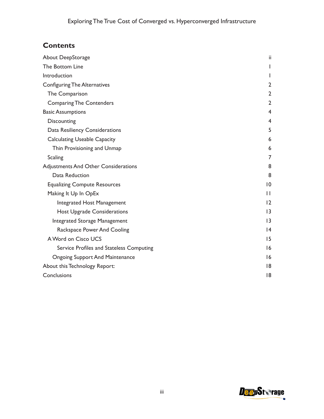## **Contents**

| About DeepStorage                           | ii              |
|---------------------------------------------|-----------------|
| The Bottom Line                             |                 |
| Introduction                                |                 |
| <b>Configuring The Alternatives</b>         | $\overline{2}$  |
| The Comparison                              | 2               |
| <b>Comparing The Contenders</b>             | $\overline{2}$  |
| <b>Basic Assumptions</b>                    | 4               |
| <b>Discounting</b>                          | 4               |
| Data Resiliency Considerations              | 5               |
| <b>Calculating Useable Capacity</b>         | 6               |
| Thin Provisioning and Unmap                 | 6               |
| <b>Scaling</b>                              | 7               |
| <b>Adjustments And Other Considerations</b> | 8               |
| Data Reduction                              | 8               |
| <b>Equalizing Compute Resources</b>         | $\overline{10}$ |
| Making It Up In OpEx                        | $\mathsf{I}$    |
| Integrated Host Management                  | 12              |
| <b>Host Upgrade Considerations</b>          | $\overline{13}$ |
| <b>Integrated Storage Management</b>        | $\overline{13}$ |
| Rackspace Power And Cooling                 | 4               |
| A Word on Cisco UCS                         | 15              |
| Service Profiles and Stateless Computing    | 16              |
| <b>Ongoing Support And Maintenance</b>      | 16              |
| About this Technology Report:               | 18              |
| Conclusions                                 | 18              |

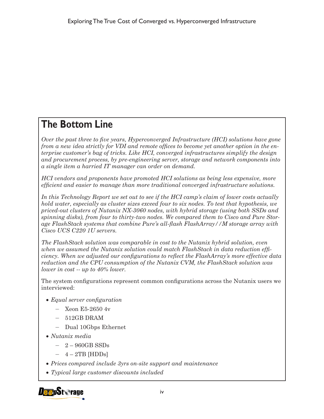## **The Bottom Line**

*Over the past three to five years, Hyperconverged Infrastructure (HCI) solutions have gone from a new idea strictly for VDI and remote offices to become yet another option in the enterprise customer's bag of tricks. Like HCI, converged infrastructures simplify the design and procurement process, by pre-engineering server, storage and network components into a single item a harried IT manager can order on demand.*

*HCI vendors and proponents have promoted HCI solutions as being less expensive, more efficient and easier to manage than more traditional converged infrastructure solutions.*

*In this Technology Report we set out to see if the HCI camp's claim of lower costs actually hold water, especially as cluster sizes exceed four to six nodes. To test that hypothesis, we priced-out clusters of Nutanix NX-3060 nodes, with hybrid storage (using both SSDs and spinning disks), from four to thirty-two nodes. We compared them to Cisco and Pure Storage FlashStack systems that combine Pure's all-flash FlashArray//M storage array with Cisco UCS C220 1U servers.*

*The FlashStack solution was comparable in cost to the Nutanix hybrid solution, even when we assumed the Nutanix solution could match FlashStack in data reduction efficiency. When we adjusted our configurations to reflect the FlashArray's more effective data reduction and the CPU consumption of the Nutanix CVM, the FlashStack solution was lower in cost -- up to 40% lower.*

The system configurations represent common configurations across the Nutanix users we interviewed:

- • *Equal server configuration*
	- Xeon E5-2650 4v
	- 512GB DRAM
	- Dual 10Gbps Ethernet
- • *Nutanix media*
	- 2 960GB SSDs
	- $-4-2TB$  [HDDs]
- • *Prices compared include 3yrs on-site support and maintenance*
- • *Typical large customer discounts included*

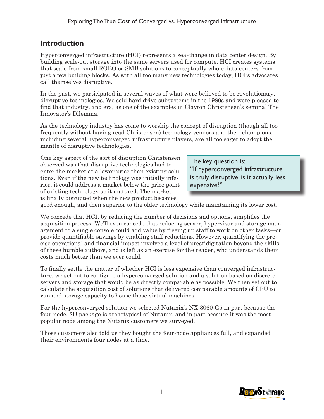## **Introduction**

Hyperconverged infrastructure (HCI) represents a sea-change in data center design. By building scale-out storage into the same servers used for compute, HCI creates systems that scale from small ROBO or SMB solutions to conceptually whole data centers from just a few building blocks. As with all too many new technologies today, HCI's advocates call themselves disruptive.

In the past, we participated in several waves of what were believed to be revolutionary, disruptive technologies. We sold hard drive subsystems in the 1980s and were pleased to find that industry, and era, as one of the examples in Clayton Christensen's seminal The Innovator's Dilemma.

As the technology industry has come to worship the concept of disruption (though all too frequently without having read Christensen) technology vendors and their champions, including several hyperconverged infrastructure players, are all too eager to adopt the mantle of disruptive technologies.

One key aspect of the sort of disruption Christensen observed was that disruptive technologies had to enter the market at a lower price than existing solutions. Even if the new technology was initially inferior, it could address a market below the price point of existing technology as it matured. The market is finally disrupted when the new product becomes

The key question is: "If hyperconverged infrastructure is truly disruptive, is it actually less expensive?"

good enough, and then superior to the older technology while maintaining its lower cost.

We concede that HCI, by reducing the number of decisions and options, simplifies the acquisition process. We'll even concede that reducing server, hypervisor and storage management to a single console could add value by freeing up staff to work on other tasks—or provide quantifiable savings by enabling staff reductions. However, quantifying the precise operational and financial impact involves a level of prestidigitation beyond the skills of these humble authors, and is left as an exercise for the reader, who understands their costs much better than we ever could.

To finally settle the matter of whether HCI is less expensive than converged infrastructure, we set out to configure a hyperconverged solution and a solution based on discrete servers and storage that would be as directly comparable as possible. We then set out to calculate the acquisition cost of solutions that delivered comparable amounts of CPU to run and storage capacity to house those virtual machines.

For the hyperconverged solution we selected Nutanix's NX-3060-G5 in part because the four-node, 2U package is archetypical of Nutanix, and in part because it was the most popular node among the Nutanix customers we surveyed.

Those customers also told us they bought the four-node appliances full, and expanded their environments four nodes at a time.

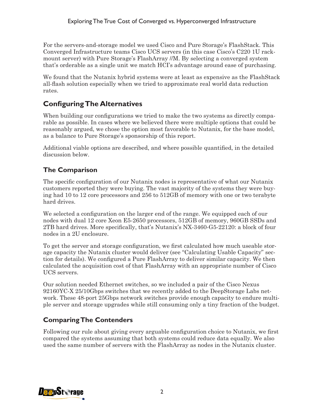For the servers-and-storage model we used Cisco and Pure Storage's FlashStack. This Converged Infrastructure teams Cisco UCS servers (in this case Cisco's C220 1U rackmount server) with Pure Storage's FlashArray //M. By selecting a converged system that's orderable as a single unit we match HCI's advantage around ease of purchasing.

We found that the Nutanix hybrid systems were at least as expensive as the FlashStack all-flash solution especially when we tried to approximate real world data reduction rates.

## **Configuring The Alternatives**

When building our configurations we tried to make the two systems as directly comparable as possible. In cases where we believed there were multiple options that could be reasonably argued, we chose the option most favorable to Nutanix, for the base model, as a balance to Pure Storage's sponsorship of this report.

Additional viable options are described, and where possible quantified, in the detailed discussion below.

### **The Comparison**

The specific configuration of our Nutanix nodes is representative of what our Nutanix customers reported they were buying. The vast majority of the systems they were buying had 10 to 12 core processors and 256 to 512GB of memory with one or two terabyte hard drives.

We selected a configuration on the larger end of the range. We equipped each of our nodes with dual 12 core Xeon E5-2650 processors, 512GB of memory, 960GB SSDs and 2TB hard drives. More specifically, that's Nutanix's NX-3460-G5-22120: a block of four nodes in a 2U enclosure.

To get the server and storage configuration, we first calculated how much useable storage capacity the Nutanix cluster would deliver (see "Calculating Usable Capacity" section for details). We configured a Pure FlashArray to deliver similar capacity. We then calculated the acquisition cost of that FlashArray with an appropriate number of Cisco UCS servers.

Our solution needed Ethernet switches, so we included a pair of the Cisco Nexus 92160YC-X 25/10Gbps switches that we recently added to the DeepStorage Labs network. These 48-port 25Gbps network switches provide enough capacity to endure multiple server and storage upgrades while still consuming only a tiny fraction of the budget.

### **Comparing The Contenders**

Following our rule about giving every arguable configuration choice to Nutanix, we first compared the systems assuming that both systems could reduce data equally. We also used the same number of servers with the FlashArray as nodes in the Nutanix cluster.

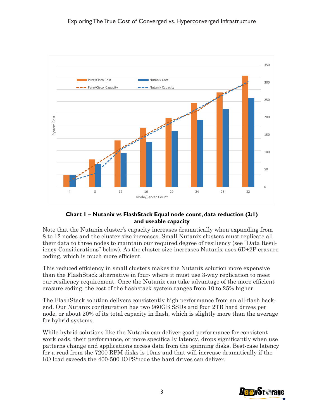

#### **Chart 1 – Nutanix vs FlashStack Equal node count, data reduction (2:1) and useable capacity**

Note that the Nutanix cluster's capacity increases dramatically when expanding from 8 to 12 nodes and the cluster size increases. Small Nutanix clusters must replicate all their data to three nodes to maintain our required degree of resiliency (see "Data Resiliency Considerations" below). As the cluster size increases Nutanix uses 6D+2P erasure coding, which is much more efficient.

This reduced efficiency in small clusters makes the Nutanix solution more expensive than the FlashStack alternative in four- where it must use 3-way replication to meet our resiliency requirement. Once the Nutanix can take advantage of the more efficient erasure coding, the cost of the flashstack system ranges from 10 to 25% higher.

The FlashStack solution delivers consistently high performance from an all-flash backend. Our Nutanix configuration has two 960GB SSDs and four 2TB hard drives per node, or about 20% of its total capacity in flash, which is slightly more than the average for hybrid systems.

While hybrid solutions like the Nutanix can deliver good performance for consistent workloads, their performance, or more specifically latency, drops significantly when use patterns change and applications access data from the spinning disks. Best-case latency for a read from the 7200 RPM disks is 10ms and that will increase dramatically if the I/O load exceeds the 400-500 IOPS/node the hard drives can deliver.

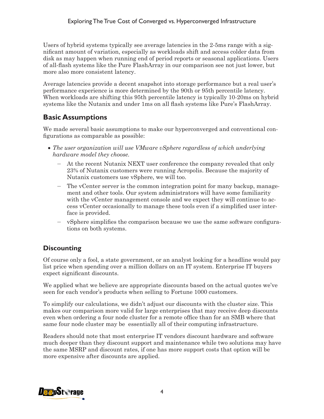Users of hybrid systems typically see average latencies in the 2-5ms range with a significant amount of variation, especially as workloads shift and access colder data from disk as may happen when running end of period reports or seasonal applications. Users of all-flash systems like the Pure FlashArray in our comparison see not just lower, but more also more consistent latency.

Average latencies provide a decent snapshot into storage performance but a real user's performance experience is more determined by the 90th or 95th percentile latency. When workloads are shifting this 95th percentile latency is typically 10-20ms on hybrid systems like the Nutanix and under 1ms on all flash systems like Pure's FlashArray.

## **Basic Assumptions**

We made several basic assumptions to make our hyperconverged and conventional configurations as comparable as possible:

- The user organization will use VMware vSphere regardless of which underlying *hardware model they choose.*
	- At the recent Nutanix NEXT user conference the company revealed that only 23% of Nutanix customers were running Acropolis. Because the majority of Nutanix customers use vSphere, we will too.
	- The vCenter server is the common integration point for many backup, management and other tools. Our system administrators will have some familiarity with the vCenter management console and we expect they will continue to access vCenter occasionally to manage these tools even if a simplified user interface is provided.
	- vSphere simplifies the comparison because we use the same software configurations on both systems.

### **Discounting**

Of course only a fool, a state government, or an analyst looking for a headline would pay list price when spending over a million dollars on an IT system. Enterprise IT buyers expect significant discounts.

We applied what we believe are appropriate discounts based on the actual quotes we've seen for each vendor's products when selling to Fortune 1000 customers.

To simplify our calculations, we didn't adjust our discounts with the cluster size. This makes our comparison more valid for large enterprises that may receive deep discounts even when ordering a four node cluster for a remote office than for an SMB where that same four node cluster may be essentially all of their computing infrastructure.

Readers should note that most enterprise IT vendors discount hardware and software much deeper than they discount support and maintenance while two solutions may have the same MSRP and discount rates, if one has more support costs that option will be more expensive after discounts are applied.

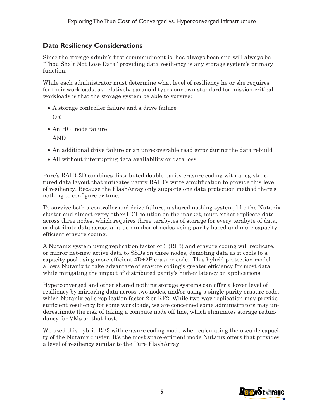#### **Data Resiliency Considerations**

Since the storage admin's first commandment is, has always been and will always be "Thou Shalt Not Lose Data" providing data resiliency is any storage system's primary function.

While each administrator must determine what level of resiliency he or she requires for their workloads, as relatively paranoid types our own standard for mission-critical workloads is that the storage system be able to survive:

- A storage controller failure and a drive failure OR
- • An HCI node failure

AND

- An additional drive failure or an unrecoverable read error during the data rebuild
- All without interrupting data availability or data loss.

Pure's RAID-3D combines distributed double parity erasure coding with a log-structured data layout that mitigates parity RAID's write amplification to provide this level of resiliency. Because the FlashArray only supports one data protection method there's nothing to configure or tune.

To survive both a controller and drive failure, a shared nothing system, like the Nutanix cluster and almost every other HCI solution on the market, must either replicate data across three nodes, which requires three terabytes of storage for every terabyte of data, or distribute data across a large number of nodes using parity-based and more capacity efficient erasure coding.

A Nutanix system using replication factor of 3 (RF3) and erasure coding will replicate, or mirror net-new active data to SSDs on three nodes, demoting data as it cools to a capacity pool using more efficient 4D+2P erasure code. This hybrid protection model allows Nutanix to take advantage of erasure coding's greater efficiency for most data while mitigating the impact of distributed parity's higher latency on applications.

Hyperconverged and other shared nothing storage systems can offer a lower level of resiliency by mirroring data across two nodes, and/or using a single parity erasure code, which Nutanix calls replication factor 2 or RF2. While two-way replication may provide sufficient resiliency for some workloads, we are concerned some administrators may underestimate the risk of taking a compute node off line, which eliminates storage redundancy for VMs on that host.

We used this hybrid RF3 with erasure coding mode when calculating the useable capacity of the Nutanix cluster. It's the most space-efficient mode Nutanix offers that provides a level of resiliency similar to the Pure FlashArray.

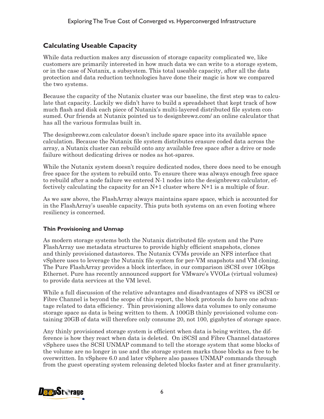#### **Calculating Useable Capacity**

While data reduction makes any discussion of storage capacity complicated we, like customers are primarily interested in how much data we can write to a storage system, or in the case of Nutanix, a subsystem. This total useable capacity, after all the data protection and data reduction technologies have done their magic is how we compared the two systems.

Because the capacity of the Nutanix cluster was our baseline, the first step was to calculate that capacity. Luckily we didn't have to build a spreadsheet that kept track of how much flash and disk each piece of Nutanix's multi-layered distributed file system consumed. Our friends at Nutanix pointed us to designbrewz.com/ an online calculator that has all the various formulas built in.

The designbrewz.com calculator doesn't include spare space into its available space calculation. Because the Nutanix file system distributes erasure coded data across the array, a Nutanix cluster can rebuild onto any available free space after a drive or node failure without dedicating drives or nodes as hot-spares.

While the Nutanix system doesn't require dedicated nodes, there does need to be enough free space for the system to rebuild onto. To ensure there was always enough free space to rebuild after a node failure we entered N-1 nodes into the designbrewz calculator, effectively calculating the capacity for an N+1 cluster where N+1 is a multiple of four.

As we saw above, the FlashArray always maintains spare space, which is accounted for in the FlashArray's useable capacity. This puts both systems on an even footing where resiliency is concerned.

#### **Thin Provisioning and Unmap**

As modern storage systems both the Nutanix distributed file system and the Pure FlashArray use metadata structures to provide highly efficient snapshots, clones and thinly provisioned datastores. The Nutanix CVMs provide an NFS interface that vSphere uses to leverage the Nutanix file system for per-VM snapshots and VM cloning. The Pure FlashArray provides a block interface, in our comparison iSCSI over 10Gbps Ethernet. Pure has recently announced support for VMware's VVOLs (virtual volumes) to provide data services at the VM level.

While a full discussion of the relative advantages and disadvantages of NFS vs iSCSI or Fibre Channel is beyond the scope of this report, the block protocols do have one advantage related to data efficiency. Thin provisioning allows data volumes to only consume storage space as data is being written to them. A 100GB thinly provisioned volume containing 20GB of data will therefore only consume 20, not 100, gigabytes of storage space.

Any thinly provisioned storage system is efficient when data is being written, the difference is how they react when data is deleted. On iSCSI and Fibre Channel datastores vSphere uses the SCSI UNMAP command to tell the storage system that some blocks of the volume are no longer in use and the storage system marks those blocks as free to be overwritten. In vSphere 6.0 and later vSphere also passes UNMAP commands through from the guest operating system releasing deleted blocks faster and at finer granularity.

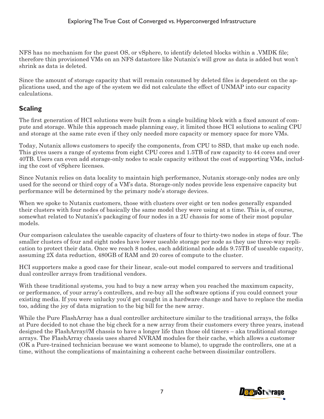NFS has no mechanism for the guest OS, or vSphere, to identify deleted blocks within a .VMDK file; therefore thin provisioned VMs on an NFS datastore like Nutanix's will grow as data is added but won't shrink as data is deleted.

Since the amount of storage capacity that will remain consumed by deleted files is dependent on the applications used, and the age of the system we did not calculate the effect of UNMAP into our capacity calculations.

## **Scaling**

The first generation of HCI solutions were built from a single building block with a fixed amount of compute and storage. While this approach made planning easy, it limited those HCI solutions to scaling CPU and storage at the same rate even if they only needed more capacity or memory space for more VMs.

Today, Nutanix allows customers to specify the components, from CPU to SSD, that make up each node. This gives users a range of systems from eight CPU cores and 1.5TB of raw capacity to 44 cores and over 40TB. Users can even add storage-only nodes to scale capacity without the cost of supporting VMs, including the cost of vSphere licenses.

Since Nutanix relies on data locality to maintain high performance, Nutanix storage-only nodes are only used for the second or third copy of a VM's data. Storage-only nodes provide less expensive capacity but performance will be determined by the primary node's storage devices.

When we spoke to Nutanix customers, those with clusters over eight or ten nodes generally expanded their clusters with four nodes of basically the same model they were using at a time. This is, of course, somewhat related to Nutanix's packaging of four nodes in a 2U chassis for some of their most popular models.

Our comparison calculates the useable capacity of clusters of four to thirty-two nodes in steps of four. The smaller clusters of four and eight nodes have lower useable storage per node as they use three-way replication to protect their data. Once we reach 8 nodes, each additional node adds 9.75TB of useable capacity, assuming 2X data reduction, 480GB of RAM and 20 cores of compute to the cluster.

HCI supporters make a good case for their linear, scale-out model compared to servers and traditional dual controller arrays from traditional vendors.

With these traditional systems, you had to buy a new array when you reached the maximum capacity, or performance, of your array's controllers, and re-buy all the software options if you could connect your existing media. If you were unlucky you'd get caught in a hardware change and have to replace the media too, adding the joy of data migration to the big bill for the new array.

While the Pure FlashArray has a dual controller architecture similar to the traditional arrays, the folks at Pure decided to not chase the big check for a new array from their customers every three years, instead designed the FlashArray//M chassis to have a longer life than those old timers – aka traditional storage arrays. The FlashArray chassis uses shared NVRAM modules for their cache, which allows a customer (OK a Pure-trained technician because we want someone to blame), to upgrade the controllers, one at a time, without the complications of maintaining a coherent cache between dissimilar controllers.

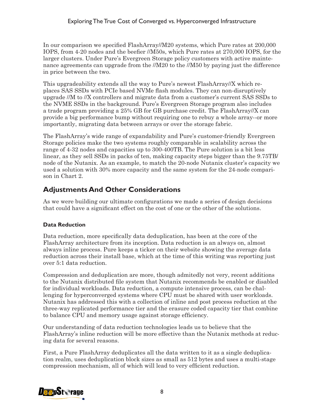In our comparison we specified FlashArray//M20 systems, which Pure rates at 200,000 IOPS, from 4-20 nodes and the beefier //M50s, which Pure rates at 270,000 IOPS, for the larger clusters. Under Pure's Evergreen Storage policy customers with active maintenance agreements can upgrade from the //M20 to the //M50 by paying just the difference in price between the two.

This upgradeability extends all the way to Pure's newest FlashArray//X which replaces SAS SSDs with PCIe based NVMe flash modules. They can non-disruptively upgrade //M to //X controllers and migrate data from a customer's current SAS SSDs to the NVME SSDs in the background. Pure's Evergreen Storage program also includes a trade program providing a 25% GB for GB purchase credit. The FlashArray//X can provide a big performance bump without requiring one to rebuy a whole array--or more importantly, migrating data between arrays or over the storage fabric.

The FlashArray's wide range of expandability and Pure's customer-friendly Evergreen Storage policies make the two systems roughly comparable in scalability across the range of 4-32 nodes and capacities up to 300-400TB. The Pure solution is a bit less linear, as they sell SSDs in packs of ten, making capacity steps bigger than the 9.75TB/ node of the Nutanix. As an example, to match the 20-node Nutanix cluster's capacity we used a solution with 30% more capacity and the same system for the 24-node comparison in Chart 2.

## **Adjustments And Other Considerations**

As we were building our ultimate configurations we made a series of design decisions that could have a significant effect on the cost of one or the other of the solutions.

#### **Data Reduction**

Data reduction, more specifically data deduplication, has been at the core of the FlashArray architecture from its inception. Data reduction is an always on, almost always inline process. Pure keeps a ticker on their website showing the average data reduction across their install base, which at the time of this writing was reporting just over 5:1 data reduction.

Compression and deduplication are more, though admitedly not very, recent additions to the Nutanix distributed file system that Nutanix recommends be enabled or disabled for individual workloads. Data reduction, a compute intensive process, can be challenging for hyperconverged systems where CPU must be shared with user workloads. Nutanix has addressed this with a collection of inline and post process reduction at the three-way replicated performance tier and the erasure coded capacity tier that combine to balance CPU and memory usage against storage efficiency.

Our understanding of data reduction technologies leads us to believe that the FlashArray's inline reduction will be more effective than the Nutanix methods at reducing data for several reasons.

First, a Pure FlashArray deduplicates all the data written to it as a single deduplication realm, uses deduplication block sizes as small as 512 bytes and uses a multi-stage compression mechanism, all of which will lead to very efficient reduction.

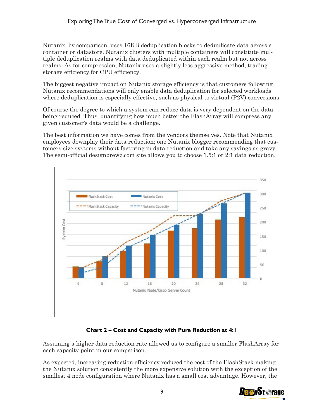Nutanix, by comparison, uses 16KB deduplication blocks to deduplicate data across a container or datastore. Nutanix clusters with multiple containers will constitute multiple deduplication realms with data deduplicated within each realm but not across realms. As for compression, Nutanix uses a slightly less aggressive method, trading storage efficiency for CPU efficiency.

The biggest negative impact on Nutanix storage efficiency is that customers following Nutanix recommendations will only enable data deduplication for selected workloads where deduplication is especially effective, such as physical to virtual (P2V) conversions.

Of course the degree to which a system can reduce data is very dependent on the data being reduced. Thus, quantifying how much better the FlashArray will compress any given customer's data would be a challenge.

The best information we have comes from the vendors themselves. Note that Nutanix employees downplay their data reduction; one Nutanix blogger recommending that customers size systems without factoring in data reduction and take any savings as gravy. The semi-official designbrewz.com site allows you to choose 1.5:1 or 2:1 data reduction.



#### **Chart 2 – Cost and Capacity with Pure Reduction at 4:1**

Assuming a higher data reduction rate allowed us to configure a smaller FlashArray for each capacity point in our comparison.

As expected, increasing reduction efficiency reduced the cost of the FlashStack making the Nutanix solution consistently the more expensive solution with the exception of the smallest 4 node configuration where Nutanix has a small cost advantage. However, the

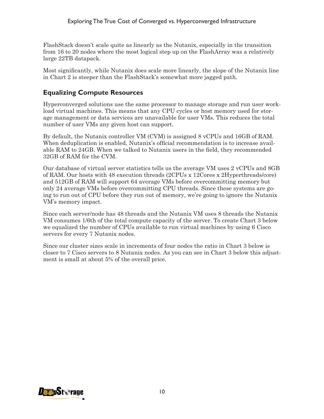FlashStack doesn't scale quite as linearly as the Nutanix, especially in the transition from 16 to 20 nodes where the most logical step up on the FlashArray was a relatively large 22TB datapack.

Most significantly, while Nutanix does scale more linearly, the slope of the Nutanix line in Chart 2 is steeper than the FlashStack's somewhat more jagged path.

#### **Equalizing Compute Resources**

Hyperconverged solutions use the same processor to manage storage and run user workload virtual machines. This means that any CPU cycles or host memory used for storage management or data services are unavailable for user VMs. This reduces the total number of user VMs any given host can support.

By default, the Nutanix controller VM (CVM) is assigned 8 vCPUs and 16GB of RAM. When deduplication is enabled, Nutanix's official recommendation is to increase available RAM to 24GB. When we talked to Nutanix users in the field, they recommended 32GB of RAM for the CVM.

Our database of virtual server statistics tells us the average VM uses 2 vCPUs and 8GB of RAM. Our hosts with 48 execution threads (2CPUs x 12Cores x 2Hyperthreads/core) and 512GB of RAM will support 64 average VMs before overcommitting memory but only 24 average VMs before overcommitting CPU threads. Since these systems are going to run out of CPU before they run out of memory, we're going to ignore the Nutanix VM's memory impact.

Since each server/node has 48 threads and the Nutanix VM uses 8 threads the Nutanix VM consumes 1/6th of the total compute capacity of the server. To create Chart 3 below we equalized the number of CPUs available to run virtual machines by using 6 Cisco servers for every 7 Nutanix nodes.

Since our cluster sizes scale in increments of four nodes the ratio in Chart 3 below is closer to 7 Cisco servers to 8 Nutanix nodes. As you can see in Chart 3 below this adjustment is small at about 5% of the overall price.

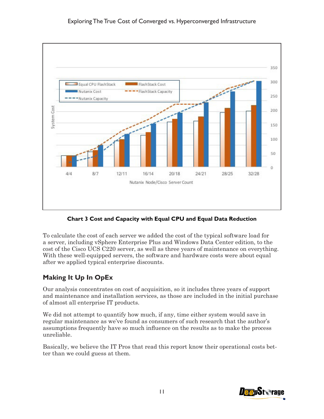

**Chart 3 Cost and Capacity with Equal CPU and Equal Data Reduction**

To calculate the cost of each server we added the cost of the typical software load for a server, including vSphere Enterprise Plus and Windows Data Center edition, to the cost of the Cisco UCS C220 server, as well as three years of maintenance on everything. With these well-equipped servers, the software and hardware costs were about equal after we applied typical enterprise discounts.

## **Making It Up In OpEx**

Our analysis concentrates on cost of acquisition, so it includes three years of support and maintenance and installation services, as those are included in the initial purchase of almost all enterprise IT products.

We did not attempt to quantify how much, if any, time either system would save in regular maintenance as we've found as consumers of such research that the author's assumptions frequently have so much influence on the results as to make the process unreliable.

Basically, we believe the IT Pros that read this report know their operational costs better than we could guess at them.

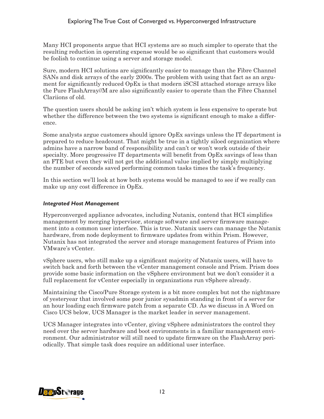Many HCI proponents argue that HCI systems are so much simpler to operate that the resulting reduction in operating expense would be so significant that customers would be foolish to continue using a server and storage model.

Sure, modern HCI solutions are significantly easier to manage than the Fibre Channel SANs and disk arrays of the early 2000s. The problem with using that fact as an argument for significantly reduced OpEx is that modern iSCSI attached storage arrays like the Pure FlashArray//M are also significantly easier to operate than the Fibre Channel Clariions of old.

The question users should be asking isn't which system is less expensive to operate but whether the difference between the two systems is significant enough to make a difference.

Some analysts argue customers should ignore OpEx savings unless the IT department is prepared to reduce headcount. That might be true in a tightly siloed organization where admins have a narrow band of responsibility and can't or won't work outside of their specialty. More progressive IT departments will benefit from OpEx savings of less than an FTE but even they will not get the additional value implied by simply multiplying the number of seconds saved performing common tasks times the task's frequency.

In this section we'll look at how both systems would be managed to see if we really can make up any cost difference in OpEx.

#### *Integrated Host Management*

Hyperconverged appliance advocates, including Nutanix, contend that HCI simplifies management by merging hypervisor, storage software and server firmware management into a common user interface. This is true. Nutanix users can manage the Nutanix hardware, from node deployment to firmware updates from within Prism. However, Nutanix has not integrated the server and storage management features of Prism into VMware's vCenter.

vSphere users, who still make up a significant majority of Nutanix users, will have to switch back and forth between the vCenter management console and Prism. Prism does provide some basic information on the vSphere environment but we don't consider it a full replacement for vCenter especially in organizations run vSphere already.

Maintaining the Cisco/Pure Storage system is a bit more complex but not the nightmare of yesteryear that involved some poor junior sysadmin standing in front of a server for an hour loading each firmware patch from a separate CD. As we discuss in A Word on Cisco UCS below, UCS Manager is the market leader in server management.

UCS Manager integrates into vCenter, giving vSphere administrators the control they need over the server hardware and boot environments in a familiar management environment. Our administrator will still need to update firmware on the FlashArray periodically. That simple task does require an additional user interface.

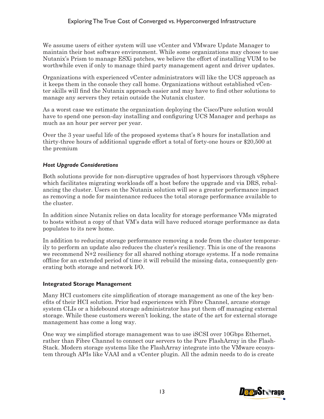We assume users of either system will use vCenter and VMware Update Manager to maintain their host software environment. While some organizations may choose to use Nutanix's Prism to manage ESXi patches, we believe the effort of installing VUM to be worthwhile even if only to manage third party management agent and driver updates.

Organizations with experienced vCenter administrators will like the UCS approach as it keeps them in the console they call home. Organizations without established vCenter skills will find the Nutanix approach easier and may have to find other solutions to manage any servers they retain outside the Nutanix cluster.

As a worst case we estimate the organization deploying the Cisco/Pure solution would have to spend one person-day installing and configuring UCS Manager and perhaps as much as an hour per server per year.

Over the 3 year useful life of the proposed systems that's 8 hours for installation and thirty-three hours of additional upgrade effort a total of forty-one hours or \$20,500 at the premium

#### *Host Upgrade Considerations*

Both solutions provide for non-disruptive upgrades of host hypervisors through vSphere which facilitates migrating workloads off a host before the upgrade and via DRS, rebalancing the cluster. Users on the Nutanix solution will see a greater performance impact as removing a node for maintenance reduces the total storage performance available to the cluster.

In addition since Nutanix relies on data locality for storage performance VMs migrated to hosts without a copy of that VM's data will have reduced storage performance as data populates to its new home.

In addition to reducing storage performance removing a node from the cluster temporarily to perform an update also reduces the cluster's resiliency. This is one of the reasons we recommend  $N+2$  resiliency for all shared nothing storage systems. If a node remains offline for an extended period of time it will rebuild the missing data, consequently generating both storage and network I/O.

#### **Integrated Storage Management**

Many HCI customers cite simplification of storage management as one of the key benefits of their HCI solution. Prior bad experiences with Fibre Channel, arcane storage system CLIs or a hidebound storage administrator has put them off managing external storage. While these customers weren't looking, the state of the art for external storage management has come a long way.

One way we simplified storage management was to use iSCSI over 10Gbps Ethernet, rather than Fibre Channel to connect our servers to the Pure FlashArray in the Flash-Stack. Modern storage systems like the FlashArray integrate into the VMware ecosystem through APIs like VAAI and a vCenter plugin. All the admin needs to do is create

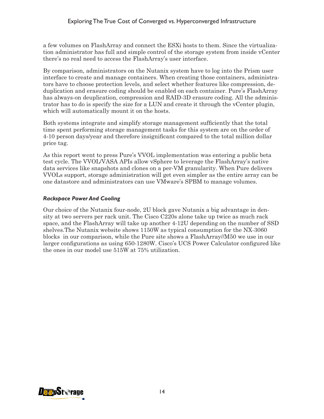a few volumes on FlashArray and connect the ESXi hosts to them. Since the virtualization administrator has full and simple control of the storage system from inside vCenter there's no real need to access the FlashArray's user interface.

By comparison, administrators on the Nutanix system have to log into the Prism user interface to create and manage containers. When creating those containers, administrators have to choose protection levels, and select whether features like compression, deduplication and erasure coding should be enabled on each container. Pure's FlashArray has always-on deuplication, compression and RAID-3D erasure coding. All the administrator has to do is specify the size for a LUN and create it through the vCenter plugin, which will automatically mount it on the hosts.

Both systems integrate and simplify storage management sufficiently that the total time spent performing storage management tasks for this system are on the order of 4-10 person days/year and therefore insignificant compared to the total million dollar price tag.

As this report went to press Pure's VVOL implementation was entering a public beta test cycle. The VVOL/VASA APIs allow vSphere to leverage the FlashArray's native data services like snapshots and clones on a per-VM granularity. When Pure delivers VVOLs support, storage administration will get even simpler as the entire array can be one datastore and administrators can use VMware's SPBM to manage volumes.

#### *Rackspace Power And Cooling*

Our choice of the Nutanix four-node, 2U block gave Nutanix a big advantage in density at two servers per rack unit. The Cisco C220s alone take up twice as much rack space, and the FlashArray will take up another 4-12U depending on the number of SSD shelves.The Nutanix website shows 1150W as typical consumption for the NX-3060 blocks in our comparison, while the Pure site shows a FlashArray//M50 we use in our larger configurations as using 650-1280W. Cisco's UCS Power Calculator configured like the ones in our model use 515W at 75% utilization.

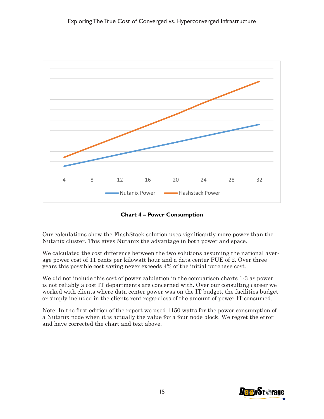

**Chart 4 – Power Consumption**

Our calculations show the FlashStack solution uses significantly more power than the Nutanix cluster. This gives Nutanix the advantage in both power and space.

We calculated the cost difference between the two solutions assuming the national average power cost of 11 cents per kilowatt hour and a data center PUE of 2. Over three years this possible cost saving never exceeds 4% of the initial purchase cost.

We did not include this cost of power calulation in the comparison charts 1-3 as power is not reliably a cost IT departments are concerned with. Over our consulting career we worked with clients where data center power was on the IT budget, the facilities budget or simply included in the clients rent regardless of the amount of power IT consumed.

Note: In the first edition of the report we used 1150 watts for the power consumption of a Nutanix node when it is actually the value for a four node block. We regret the error and have corrected the chart and text above.

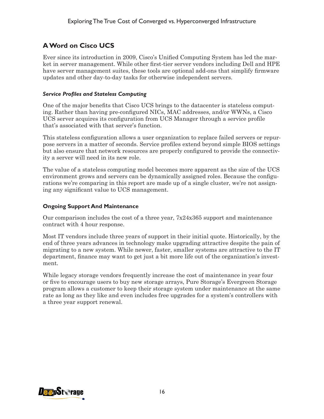#### **A Word on Cisco UCS**

Ever since its introduction in 2009, Cisco's Unified Computing System has led the market in server management. While other first-tier server vendors including Dell and HPE have server management suites, these tools are optional add-ons that simplify firmware updates and other day-to-day tasks for otherwise independent servers.

#### *Service Profiles and Stateless Computing*

One of the major benefits that Cisco UCS brings to the datacenter is stateless computing. Rather than having pre-configured NICs, MAC addresses, and/or WWNs, a Cisco UCS server acquires its configuration from UCS Manager through a service profile that's associated with that server's function.

This stateless configuration allows a user organization to replace failed servers or repurpose servers in a matter of seconds. Service profiles extend beyond simple BIOS settings but also ensure that network resources are properly configured to provide the connectivity a server will need in its new role.

The value of a stateless computing model becomes more apparent as the size of the UCS environment grows and servers can be dynamically assigned roles. Because the configurations we're comparing in this report are made up of a single cluster, we're not assigning any significant value to UCS management.

#### **Ongoing Support And Maintenance**

Our comparison includes the cost of a three year,  $7x24x365$  support and maintenance contract with 4 hour response.

Most IT vendors include three years of support in their initial quote. Historically, by the end of three years advances in technology make upgrading attractive despite the pain of migrating to a new system. While newer, faster, smaller systems are attractive to the IT department, finance may want to get just a bit more life out of the organization's investment.

While legacy storage vendors frequently increase the cost of maintenance in year four or five to encourage users to buy new storage arrays, Pure Storage's Evergreen Storage program allows a customer to keep their storage system under maintenance at the same rate as long as they like and even includes free upgrades for a system's controllers with a three year support renewal.

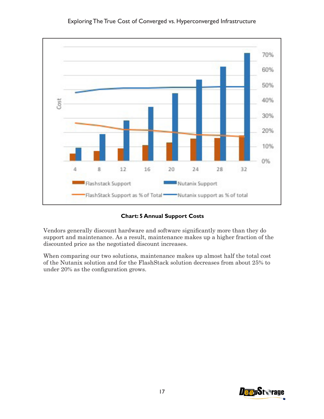

**Chart: 5 Annual Support Costs**

Vendors generally discount hardware and software significantly more than they do support and maintenance. As a result, maintenance makes up a higher fraction of the discounted price as the negotiated discount increases.

When comparing our two solutions, maintenance makes up almost half the total cost of the Nutanix solution and for the FlashStack solution decreases from about 25% to under 20% as the configuration grows.